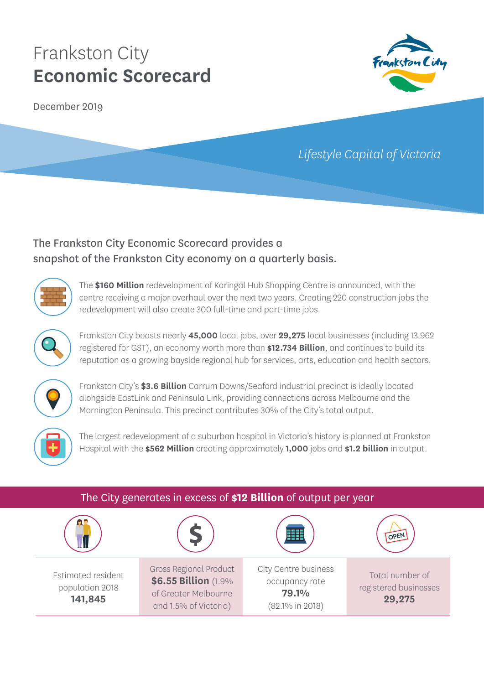December 2019



# *Lifestyle Capital of Victoria*

### The Frankston City Economic Scorecard provides a snapshot of the Frankston City economy on a quarterly basis.



The **\$160 Million** redevelopment of Karingal Hub Shopping Centre is announced, with the centre receiving a major overhaul over the next two years. Creating 220 construction jobs the redevelopment will also create 300 full-time and part-time jobs.



Frankston City boasts nearly **45,000** local jobs, over **29,275** local businesses (including 13,962 registered for GST), an economy worth more than **\$12.734 Billion**, and continues to build its reputation as a growing bayside regional hub for services, arts, education and health sectors.



Frankston City's **\$3.6 Billion** Carrum Downs/Seaford industrial precinct is ideally located alongside EastLink and Peninsula Link, providing connections across Melbourne and the Mornington Peninsula. This precinct contributes 30% of the City's total output.



The largest redevelopment of a suburban hospital in Victoria's history is planned at Frankston Hospital with the **\$562 Million** creating approximately **1,000** jobs and **\$1.2 billion** in output.

| The City generates in excess of \$12 Billion of output per year |                                                                                                        |                                                                                |                                                    |  |
|-----------------------------------------------------------------|--------------------------------------------------------------------------------------------------------|--------------------------------------------------------------------------------|----------------------------------------------------|--|
|                                                                 |                                                                                                        |                                                                                | OPEI                                               |  |
| Estimated resident<br>population 2018<br>141,845                | <b>Gross Regional Product</b><br>\$6.55 Billion (1.9%<br>of Greater Melbourne<br>and 1.5% of Victoria) | City Centre business<br>occupancy rate<br>79.1%<br>$(82.1\% \text{ in } 2018)$ | Total number of<br>registered businesses<br>29,275 |  |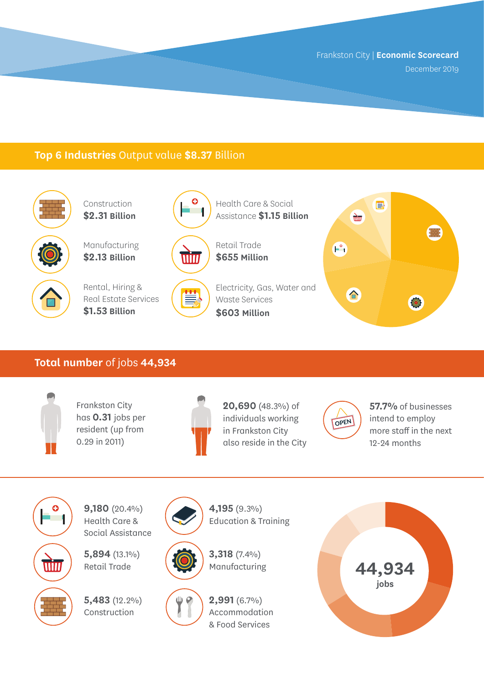December 2019

### **Top 6 Industries** Output value **\$8.37** Billion



Construction **\$2.31 Billion**

Manufacturing **\$2.13 Billion**



Rental, Hiring & Real Estate Services **\$1.53 Billion**



Health Care & Social Assistance **\$1.15 Billion**



≝

Retail Trade **\$655 Million**

Electricity, Gas, Water and Waste Services **\$603 Million**



#### **Total number** of jobs **44,934**



Frankston City has **0.31** jobs per resident (up from 0.29 in 2011)



**20,690** (48.3%) of individuals working in Frankston City also reside in the City



**57.7%** of businesses intend to employ more staff in the next 12-24 months



**9,180** (20.4%) Health Care & Social Assistance

**5,894** (13.1%) Retail Trade

**5,483** (12.2%) Construction







Education & Training



**4,195** (9.3%)

**2,991** (6.7%) Accommodation & Food Services

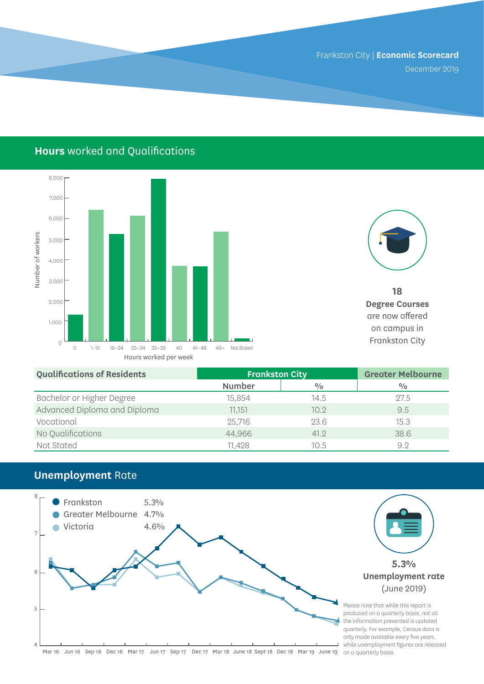December 2019

### **Hours** worked and Qualifications





**18 Degree Courses**  are now offered on campus in

| <b>Qualifications of Residents</b> | <b>Frankston City</b> |               | <b>Greater Melbourne</b> |
|------------------------------------|-----------------------|---------------|--------------------------|
|                                    | Number                | $\frac{0}{0}$ | $\frac{0}{0}$            |
| Bachelor or Higher Degree          | 15,854                | 14.5          | 27.5                     |
| Advanced Diploma and Diploma       | 11,151                | 10.9          | 9.5                      |
| Vocational                         | 25,716                | 23.6          | 15.3                     |
| No Qualifications                  | 44,966                | 41.2          | 38.6                     |
| Not Stated                         | 11,428                | 10.5          | 9.2                      |

### **Unemployment** Rate

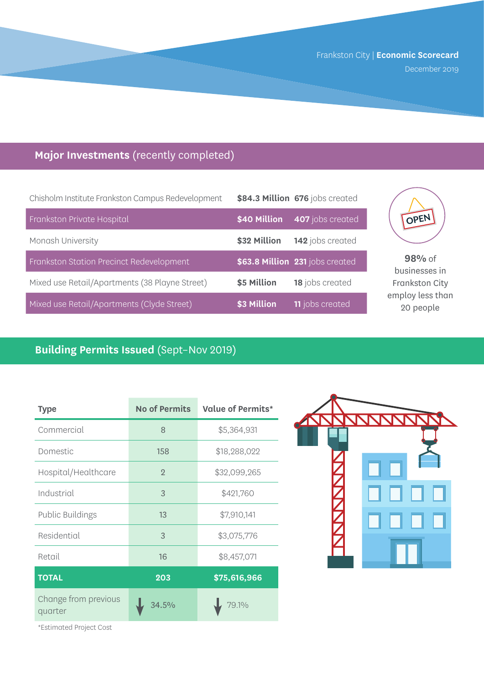December 2019

## **Major Investments** (recently completed)

| Chisholm Institute Frankston Campus Redevelopment |              | \$84.3 Million 676 jobs created |
|---------------------------------------------------|--------------|---------------------------------|
| Frankston Private Hospital                        | \$40 Million | 407 jobs created                |
| Monash University                                 | \$32 Million | 142 jobs created                |
| Frankston Station Precinct Redevelopment          |              | \$63.8 Million 231 jobs created |
| Mixed use Retail/Apartments (38 Playne Street)    | \$5 Million  | 18 jobs created                 |
| Mixed use Retail/Apartments (Clyde Street)        | \$3 Million  | <b>11</b> jobs created          |



**98%** of businesses in Frankston City employ less than 20 people

### **Building Permits Issued** (Sept–Nov 2019)

| <b>Type</b>                     | <b>No of Permits</b> | <b>Value of Permits*</b> |
|---------------------------------|----------------------|--------------------------|
| Commercial                      | 8                    | \$5,364,931              |
| Domestic                        | 158                  | \$18,288,022             |
| Hospital/Healthcare             | $\overline{2}$       | \$32,099,265             |
| Industrial                      | 3                    | \$421,760                |
| <b>Public Buildings</b>         | 13                   | \$7,910,141              |
| Residential                     | 3                    | \$3,075,776              |
| Retail                          | 16                   | \$8,457,071              |
| <b>TOTAL</b>                    | 203                  | \$75,616,966             |
| Change from previous<br>quarter | 34.5%                | 79.1%                    |



\*Estimated Project Cost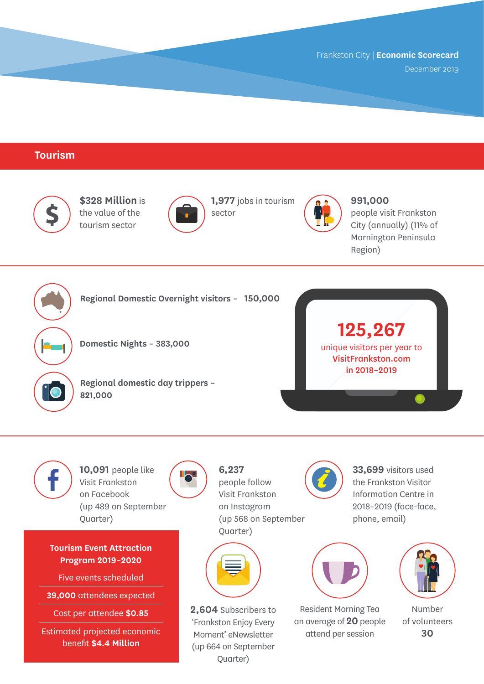December 2019

### **Tourism**



**Tourism Event Attraction Program 2019–2020**

Quarter)

Five events scheduled

**39,000** attendees expected

Cost per attendee **\$0.85**

Estimated projected economic benefit **\$4.4 Million**

on Instagram (up 568 on September Quarter)



**2,604** Subscribers to 'Frankston Enjoy Every Moment' eNewsletter (up 664 on September Quarter)

2018–2019 (face-face, phone, email)



Resident Morning Tea an average of **20** people attend per session



Number of volunteers **30**